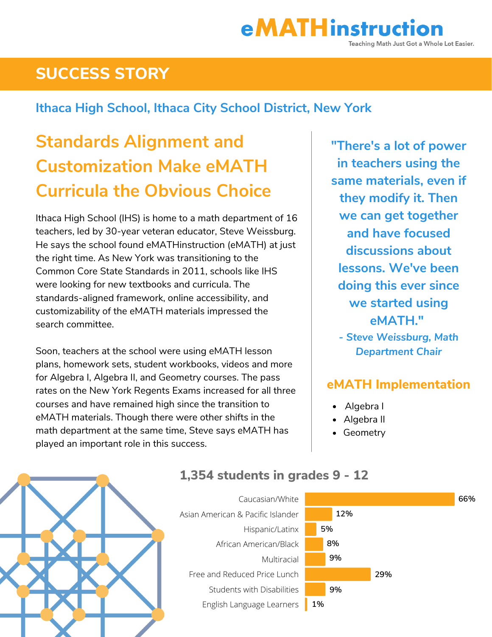# **SUCCESS STORY**

#### **Ithaca High School, Ithaca City School District, New York**

# **Standards Alignment and Customization Make eMATH Curricula the Obvious Choice**

Ithaca High School (IHS) is home to a math department of 16 teachers, led by 30-year veteran educator, Steve Weissburg. He says the school found eMATHinstruction (eMATH) at just the right time. As New York was transitioning to the Common Core State Standards in 2011, schools like IHS were looking for new textbooks and curricula. The standards-aligned framework, online accessibility, and customizability of the eMATH materials impressed the search committee.

Soon, teachers at the school were using eMATH lesson plans, homework sets, student workbooks, videos and more for Algebra I, Algebra II, and Geometry courses. The pass rates on the New York Regents Exams increased for all three courses and have remained high since the transition to eMATH materials. Though there were other shifts in the math department at the same time, Steve says eMATH has played an important role in this success.

**"There's a lot of power in teachers using the same materials, even if they modify it. Then we can get together and have focused discussions about lessons. We've been doing this ever since we started using eMATH."**

*- Steve Weissburg, Math Department Chair*

#### **eMATH Implementation**

- Algebra I
- Algebra II
- Geometry



#### **1,354 students in grades 9 - 12**

Caucasian/White Asian American & Pacific Islander Hispanic/Latinx African American/Black Multiracial Free and Reduced Price Lunch Students with Disabilities English Language Learners